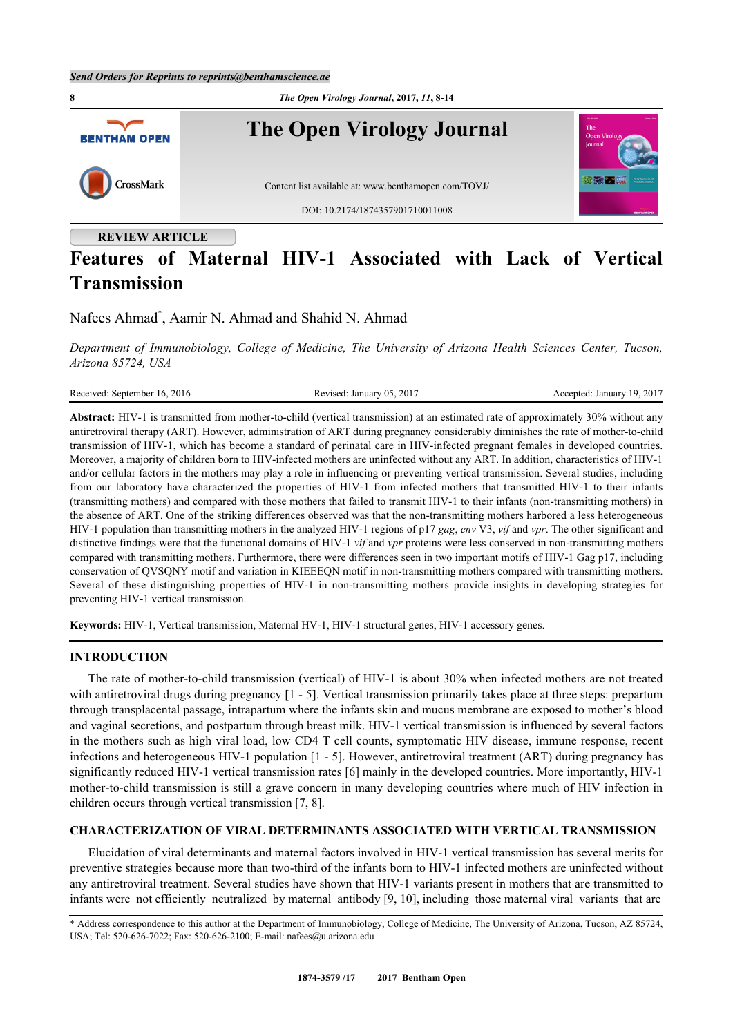

# **Features of Maternal HIV-1 Associated with Lack of Vertical Transmission**

Nafees Ahmad<sup>[\\*](#page-0-0)</sup>, Aamir N. Ahmad and Shahid N. Ahmad

*Department of Immunobiology, College of Medicine, The University of Arizona Health Sciences Center, Tucson, Arizona 85724, USA*

| Received: September 16, 2016 | Revised: January 05, 2017 | Accepted: January 19, 2017 |  |
|------------------------------|---------------------------|----------------------------|--|
|                              |                           |                            |  |

**Abstract:** HIV-1 is transmitted from mother-to-child (vertical transmission) at an estimated rate of approximately 30% without any antiretroviral therapy (ART). However, administration of ART during pregnancy considerably diminishes the rate of mother-to-child transmission of HIV-1, which has become a standard of perinatal care in HIV-infected pregnant females in developed countries. Moreover, a majority of children born to HIV-infected mothers are uninfected without any ART. In addition, characteristics of HIV-1 and/or cellular factors in the mothers may play a role in influencing or preventing vertical transmission. Several studies, including from our laboratory have characterized the properties of HIV-1 from infected mothers that transmitted HIV-1 to their infants (transmitting mothers) and compared with those mothers that failed to transmit HIV-1 to their infants (non-transmitting mothers) in the absence of ART. One of the striking differences observed was that the non-transmitting mothers harbored a less heterogeneous HIV-1 population than transmitting mothers in the analyzed HIV-1 regions of p17 *gag*, *env* V3, *vif* and *vpr*. The other significant and distinctive findings were that the functional domains of HIV-1 *vif* and *vpr* proteins were less conserved in non-transmitting mothers compared with transmitting mothers. Furthermore, there were differences seen in two important motifs of HIV-1 Gag p17, including conservation of QVSQNY motif and variation in KIEEEQN motif in non-transmitting mothers compared with transmitting mothers. Several of these distinguishing properties of HIV-1 in non-transmitting mothers provide insights in developing strategies for preventing HIV-1 vertical transmission.

**Keywords:** HIV-1, Vertical transmission, Maternal HV-1, HIV-1 structural genes, HIV-1 accessory genes.

## **INTRODUCTION**

The rate of mother-to-child transmission (vertical) of HIV-1 is about 30% when infected mothers are not treated with antiretroviral drugs during pregnancy  $[1 - 5]$  $[1 - 5]$  $[1 - 5]$  $[1 - 5]$ . Vertical transmission primarily takes place at three steps: prepartum through transplacental passage, intrapartum where the infants skin and mucus membrane are exposed to mother's blood and vaginal secretions, and postpartum through breast milk. HIV-1 vertical transmission is influenced by several factors in the mothers such as high viral load, low CD4 T cell counts, symptomatic HIV disease, immune response, recent infections and heterogeneous HIV-1 population [[1](#page-3-0) - [5\]](#page-4-0). However, antiretroviral treatment (ART) during pregnancy has significantly reduced HIV-1 vertical transmission rates [[6\]](#page-4-1) mainly in the developed countries. More importantly, HIV-1 mother-to-child transmission is still a grave concern in many developing countries where much of HIV infection in children occurs through vertical transmission [\[7](#page-4-2), [8](#page-4-3)].

## **CHARACTERIZATION OF VIRAL DETERMINANTS ASSOCIATED WITH VERTICAL TRANSMISSION**

Elucidation of viral determinants and maternal factors involved in HIV-1 vertical transmission has several merits for preventive strategies because more than two-third of the infants born to HIV-1 infected mothers are uninfected without any antiretroviral treatment. Several studies have shown that HIV-1 variants present in mothers that are transmitted to infants were not efficiently neutralized by maternal antibody [[9,](#page-4-4) [10\]](#page-4-5), including those maternal viral variants that are

<span id="page-0-0"></span><sup>\*</sup> Address correspondence to this author at the Department of Immunobiology, College of Medicine, The University of Arizona, Tucson, AZ 85724, USA; Tel: 520-626-7022; Fax: 520-626-2100; E-mail: [nafees@u.arizona.edu](mailto:nafees@u.arizona.edu)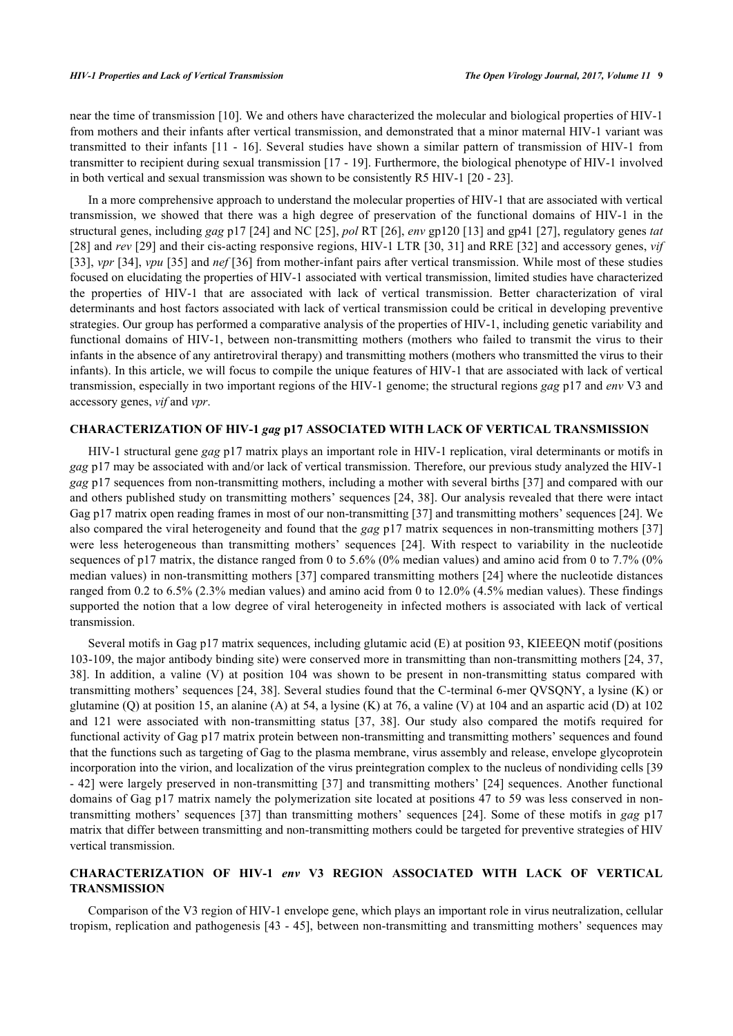near the time of transmission [[10\]](#page-4-5). We and others have characterized the molecular and biological properties of HIV-1 from mothers and their infants after vertical transmission, and demonstrated that a minor maternal HIV-1 variant was transmitted to their infants [[11](#page-4-6) - [16\]](#page-4-7). Several studies have shown a similar pattern of transmission of HIV-1 from transmitter to recipient during sexual transmission [[17](#page-4-8) - [19\]](#page-4-9). Furthermore, the biological phenotype of HIV-1 involved in both vertical and sexual transmission was shown to be consistently R5 HIV-1 [\[20](#page-4-10) - [23](#page-5-0)].

In a more comprehensive approach to understand the molecular properties of HIV-1 that are associated with vertical transmission, we showed that there was a high degree of preservation of the functional domains of HIV-1 in the structural genes, including *gag* p17 [[24](#page-5-1)] and NC [\[25\]](#page-5-2), *pol* RT [[26\]](#page-5-3), *env* gp120 [\[13\]](#page-4-11) and gp41 [\[27](#page-5-4)], regulatory genes *tat* [\[28](#page-5-5)] and *rev* [\[29](#page-5-6)] and their cis-acting responsive regions, HIV-1 LTR [[30](#page-5-7), [31\]](#page-5-8) and RRE [\[32\]](#page-5-9) and accessory genes, *vif* [\[33](#page-5-10)], *vpr* [[34](#page-5-11)], *vpu* [[35](#page-5-12)] and *nef* [[36\]](#page-5-13) from mother-infant pairs after vertical transmission. While most of these studies focused on elucidating the properties of HIV-1 associated with vertical transmission, limited studies have characterized the properties of HIV-1 that are associated with lack of vertical transmission. Better characterization of viral determinants and host factors associated with lack of vertical transmission could be critical in developing preventive strategies. Our group has performed a comparative analysis of the properties of HIV-1, including genetic variability and functional domains of HIV-1, between non-transmitting mothers (mothers who failed to transmit the virus to their infants in the absence of any antiretroviral therapy) and transmitting mothers (mothers who transmitted the virus to their infants). In this article, we will focus to compile the unique features of HIV-1 that are associated with lack of vertical transmission, especially in two important regions of the HIV-1 genome; the structural regions *gag* p17 and *env* V3 and accessory genes, *vif* and *vpr*.

## **CHARACTERIZATION OF HIV-1** *gag* **p17 ASSOCIATED WITH LACK OF VERTICAL TRANSMISSION**

HIV-1 structural gene *gag* p17 matrix plays an important role in HIV-1 replication, viral determinants or motifs in *gag* p17 may be associated with and/or lack of vertical transmission. Therefore, our previous study analyzed the HIV-1 *gag* p17 sequences from non-transmitting mothers, including a mother with several births [[37](#page-5-14)] and compared with our and others published study on transmitting mothers' sequences [\[24,](#page-5-1) [38](#page-5-15)]. Our analysis revealed that there were intact Gag p17 matrix open reading frames in most of our non-transmitting [[37](#page-5-14)] and transmitting mothers' sequences [\[24](#page-5-1)]. We also compared the viral heterogeneity and found that the *gag* p17 matrix sequences in non-transmitting mothers [[37](#page-5-14)] were less heterogeneous than transmitting mothers' sequences[[24\]](#page-5-1). With respect to variability in the nucleotide sequences of p17 matrix, the distance ranged from 0 to 5.6% (0% median values) and amino acid from 0 to 7.7% (0% median values) in non-transmitting mothers [[37](#page-5-14)] compared transmitting mothers [\[24\]](#page-5-1) where the nucleotide distances ranged from 0.2 to 6.5% (2.3% median values) and amino acid from 0 to 12.0% (4.5% median values). These findings supported the notion that a low degree of viral heterogeneity in infected mothers is associated with lack of vertical transmission.

Several motifs in Gag p17 matrix sequences, including glutamic acid (E) at position 93, KIEEEQN motif (positions 103-109, the major antibody binding site) were conserved more in transmitting than non-transmitting mothers [[24,](#page-5-1) [37](#page-5-14), [38\]](#page-5-15). In addition, a valine (V) at position 104 was shown to be present in non-transmitting status compared with transmitting mothers' sequences [[24](#page-5-1), [38\]](#page-5-15). Several studies found that the C-terminal 6-mer QVSQNY, a lysine (K) or glutamine (Q) at position 15, an alanine (A) at 54, a lysine (K) at 76, a valine (V) at 104 and an aspartic acid (D) at 102 and 121 were associated with non-transmitting status[[37,](#page-5-14) [38](#page-5-15)]. Our study also compared the motifs required for functional activity of Gag p17 matrix protein between non-transmitting and transmitting mothers' sequences and found that the functions such as targeting of Gag to the plasma membrane, virus assembly and release, envelope glycoprotein incorporation into the virion, and localization of the virus preintegration complex to the nucleus of nondividing cells [[39](#page-5-16) - [42\]](#page-6-0) were largely preserved in non-transmitting [[37](#page-5-14)] and transmitting mothers' [[24](#page-5-1)] sequences. Another functional domains of Gag p17 matrix namely the polymerization site located at positions 47 to 59 was less conserved in nontransmitting mothers' sequences [[37\]](#page-5-14) than transmitting mothers' sequences [[24](#page-5-1)]. Some of these motifs in *gag* p17 matrix that differ between transmitting and non-transmitting mothers could be targeted for preventive strategies of HIV vertical transmission.

# **CHARACTERIZATION OF HIV-1** *env* **V3 REGION ASSOCIATED WITH LACK OF VERTICAL TRANSMISSION**

Comparison of the V3 region of HIV-1 envelope gene, which plays an important role in virus neutralization, cellular tropism, replication and pathogenesis [\[43](#page-6-1) - [45](#page-6-2)], between non-transmitting and transmitting mothers' sequences may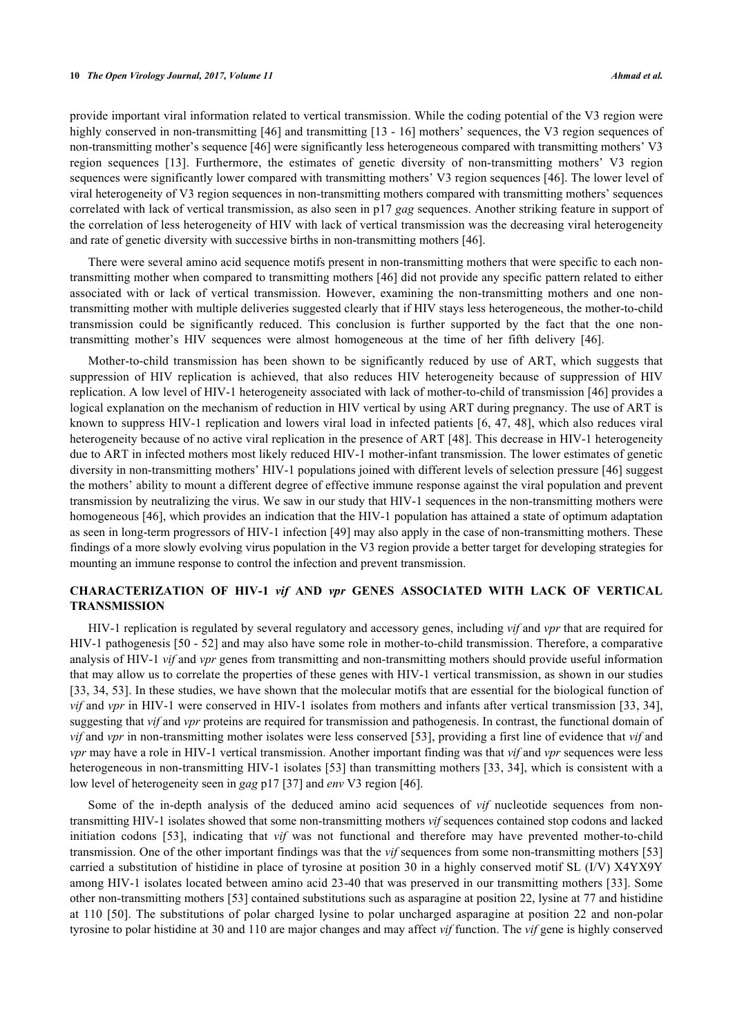provide important viral information related to vertical transmission. While the coding potential of the V3 region were highly conserved in non-transmitting [[46](#page-6-3)] and transmitting [[13](#page-4-11) - [16](#page-4-7)] mothers' sequences, the V3 region sequences of non-transmitting mother's sequence [[46\]](#page-6-3) were significantly less heterogeneous compared with transmitting mothers' V3 region sequences[[13\]](#page-4-11). Furthermore, the estimates of genetic diversity of non-transmitting mothers' V3 region sequences were significantly lower compared with transmitting mothers' V3 region sequences [\[46](#page-6-3)]. The lower level of viral heterogeneity of V3 region sequences in non-transmitting mothers compared with transmitting mothers' sequences correlated with lack of vertical transmission, as also seen in p17 *gag* sequences. Another striking feature in support of the correlation of less heterogeneity of HIV with lack of vertical transmission was the decreasing viral heterogeneity and rate of genetic diversity with successive births in non-transmitting mothers [[46\]](#page-6-3).

There were several amino acid sequence motifs present in non-transmitting mothers that were specific to each nontransmitting mother when compared to transmitting mothers [\[46\]](#page-6-3) did not provide any specific pattern related to either associated with or lack of vertical transmission. However, examining the non-transmitting mothers and one nontransmitting mother with multiple deliveries suggested clearly that if HIV stays less heterogeneous, the mother-to-child transmission could be significantly reduced. This conclusion is further supported by the fact that the one nontransmitting mother's HIV sequences were almost homogeneous at the time of her fifth delivery [\[46](#page-6-3)].

Mother-to-child transmission has been shown to be significantly reduced by use of ART, which suggests that suppression of HIV replication is achieved, that also reduces HIV heterogeneity because of suppression of HIV replication. A low level of HIV-1 heterogeneity associated with lack of mother-to-child of transmission [[46\]](#page-6-3) provides a logical explanation on the mechanism of reduction in HIV vertical by using ART during pregnancy. The use of ART is known to suppress HIV-1 replication and lowers viral load in infected patients [\[6](#page-4-1), [47](#page-6-4), [48](#page-6-5)], which also reduces viral heterogeneity because of no active viral replication in the presence of ART [\[48\]](#page-6-5). This decrease in HIV-1 heterogeneity due to ART in infected mothers most likely reduced HIV-1 mother-infant transmission. The lower estimates of genetic diversity in non-transmitting mothers' HIV-1 populations joined with different levels of selection pressure [\[46](#page-6-3)] suggest the mothers' ability to mount a different degree of effective immune response against the viral population and prevent transmission by neutralizing the virus. We saw in our study that HIV-1 sequences in the non-transmitting mothers were homogeneous [[46](#page-6-3)], which provides an indication that the HIV-1 population has attained a state of optimum adaptation as seen in long-term progressors of HIV-1 infection [\[49](#page-6-6)] may also apply in the case of non-transmitting mothers. These findings of a more slowly evolving virus population in the V3 region provide a better target for developing strategies for mounting an immune response to control the infection and prevent transmission.

# **CHARACTERIZATION OF HIV-1** *vif* **AND** *vpr* **GENES ASSOCIATED WITH LACK OF VERTICAL TRANSMISSION**

HIV-1 replication is regulated by several regulatory and accessory genes, including *vif* and *vpr* that are required for HIV-1 pathogenesis [[50](#page-6-7) - [52\]](#page-6-8) and may also have some role in mother-to-child transmission. Therefore, a comparative analysis of HIV-1 *vif* and *vpr* genes from transmitting and non-transmitting mothers should provide useful information that may allow us to correlate the properties of these genes with HIV-1 vertical transmission, as shown in our studies [\[33](#page-5-10), [34,](#page-5-11) [53](#page-6-9)]. In these studies, we have shown that the molecular motifs that are essential for the biological function of *vif* and *vpr* in HIV-1 were conserved in HIV-1 isolates from mothers and infants after vertical transmission [[33,](#page-5-10) [34\]](#page-5-11), suggesting that *vif* and *vpr* proteins are required for transmission and pathogenesis. In contrast, the functional domain of *vif* and *vpr* in non-transmitting mother isolates were less conserved [\[53](#page-6-9)], providing a first line of evidence that *vif* and *vpr* may have a role in HIV-1 vertical transmission. Another important finding was that *vif* and *vpr* sequences were less heterogeneous in non-transmitting HIV-1 isolates [[53\]](#page-6-9) than transmitting mothers [\[33,](#page-5-10) [34](#page-5-11)], which is consistent with a low level of heterogeneity seen in *gag* p17 [[37\]](#page-5-14) and *env* V3 region [\[46](#page-6-3)].

Some of the in-depth analysis of the deduced amino acid sequences of *vif* nucleotide sequences from nontransmitting HIV-1 isolates showed that some non-transmitting mothers *vif* sequences contained stop codons and lacked initiation codons[[53\]](#page-6-9), indicating that *vif* was not functional and therefore may have prevented mother-to-child transmission. One of the other important findings was that the *vif* sequences from some non-transmitting mothers [\[53](#page-6-9)] carried a substitution of histidine in place of tyrosine at position 30 in a highly conserved motif SL (I/V) X4YX9Y among HIV-1 isolates located between amino acid 23-40 that was preserved in our transmitting mothers [[33](#page-5-10)]. Some other non-transmitting mothers [\[53](#page-6-9)] contained substitutions such as asparagine at position 22, lysine at 77 and histidine at 110 [\[50\]](#page-6-7). The substitutions of polar charged lysine to polar uncharged asparagine at position 22 and non-polar tyrosine to polar histidine at 30 and 110 are major changes and may affect *vif* function. The *vif* gene is highly conserved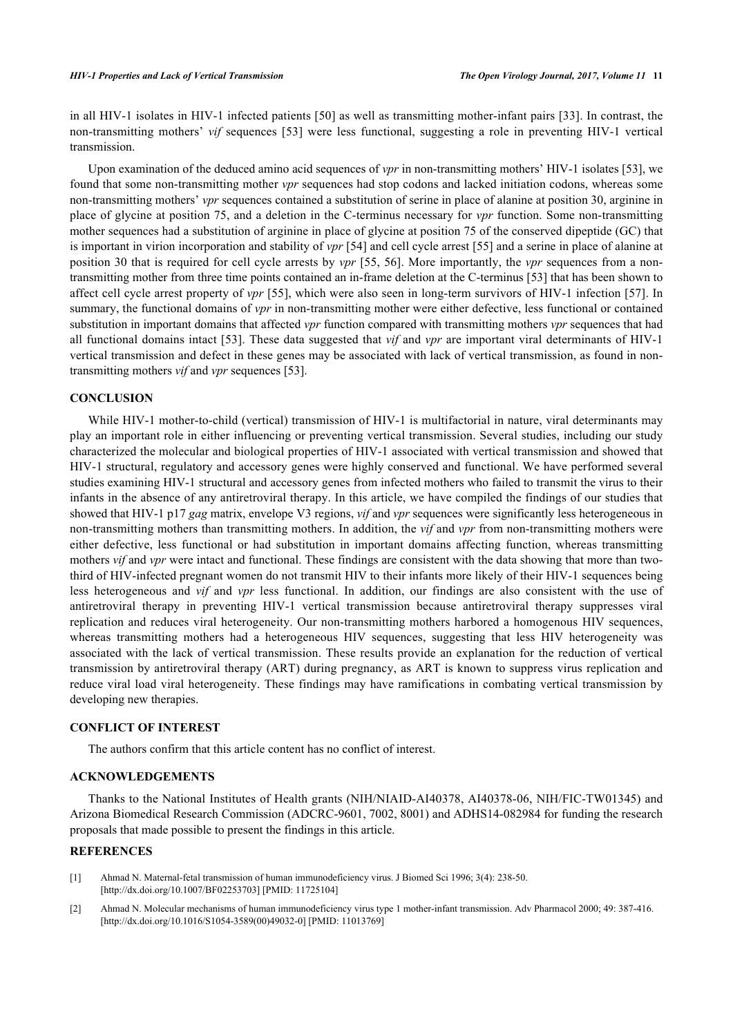in all HIV-1 isolates in HIV-1 infected patients [[50](#page-6-7)] as well as transmitting mother-infant pairs [\[33\]](#page-5-10). In contrast, the non-transmitting mothers' *vif* sequences [\[53\]](#page-6-9) were less functional, suggesting a role in preventing HIV-1 vertical transmission.

Upon examination of the deduced amino acid sequences of *vpr* in non-transmitting mothers' HIV-1 isolates [[53\]](#page-6-9), we found that some non-transmitting mother *vpr* sequences had stop codons and lacked initiation codons, whereas some non-transmitting mothers' *vpr* sequences contained a substitution of serine in place of alanine at position 30, arginine in place of glycine at position 75, and a deletion in the C-terminus necessary for *vpr* function. Some non-transmitting mother sequences had a substitution of arginine in place of glycine at position 75 of the conserved dipeptide (GC) that is important in virion incorporation and stability of *vpr* [[54\]](#page-6-10) and cell cycle arrest [\[55](#page-6-11)] and a serine in place of alanine at position 30 that is required for cell cycle arrests by *vpr* [[55](#page-6-11), [56](#page-6-12)]. More importantly, the *vpr* sequences from a nontransmitting mother from three time points contained an in-frame deletion at the C-terminus [\[53](#page-6-9)] that has been shown to affect cell cycle arrest property of *vpr* [[55\]](#page-6-11), which were also seen in long-term survivors of HIV-1 infection [[57](#page-6-13)]. In summary, the functional domains of *vpr* in non-transmitting mother were either defective, less functional or contained substitution in important domains that affected *vpr* function compared with transmitting mothers *vpr* sequences that had all functional domains intact [[53](#page-6-9)]. These data suggested that *vif* and *vpr* are important viral determinants of HIV-1 vertical transmission and defect in these genes may be associated with lack of vertical transmission, as found in nontransmitting mothers *vif* and *vpr* sequences [[53\]](#page-6-9).

## **CONCLUSION**

While HIV-1 mother-to-child (vertical) transmission of HIV-1 is multifactorial in nature, viral determinants may play an important role in either influencing or preventing vertical transmission. Several studies, including our study characterized the molecular and biological properties of HIV-1 associated with vertical transmission and showed that HIV-1 structural, regulatory and accessory genes were highly conserved and functional. We have performed several studies examining HIV-1 structural and accessory genes from infected mothers who failed to transmit the virus to their infants in the absence of any antiretroviral therapy. In this article, we have compiled the findings of our studies that showed that HIV-1 p17 *gag* matrix, envelope V3 regions, *vif* and *vpr* sequences were significantly less heterogeneous in non-transmitting mothers than transmitting mothers. In addition, the *vif* and *vpr* from non-transmitting mothers were either defective, less functional or had substitution in important domains affecting function, whereas transmitting mothers *vif* and *vpr* were intact and functional. These findings are consistent with the data showing that more than twothird of HIV-infected pregnant women do not transmit HIV to their infants more likely of their HIV-1 sequences being less heterogeneous and *vif* and *vpr* less functional. In addition, our findings are also consistent with the use of antiretroviral therapy in preventing HIV-1 vertical transmission because antiretroviral therapy suppresses viral replication and reduces viral heterogeneity. Our non-transmitting mothers harbored a homogenous HIV sequences, whereas transmitting mothers had a heterogeneous HIV sequences, suggesting that less HIV heterogeneity was associated with the lack of vertical transmission. These results provide an explanation for the reduction of vertical transmission by antiretroviral therapy (ART) during pregnancy, as ART is known to suppress virus replication and reduce viral load viral heterogeneity. These findings may have ramifications in combating vertical transmission by developing new therapies.

#### **CONFLICT OF INTEREST**

The authors confirm that this article content has no conflict of interest.

#### **ACKNOWLEDGEMENTS**

Thanks to the National Institutes of Health grants (NIH/NIAID-AI40378, AI40378-06, NIH/FIC-TW01345) and Arizona Biomedical Research Commission (ADCRC-9601, 7002, 8001) and ADHS14-082984 for funding the research proposals that made possible to present the findings in this article.

#### **REFERENCES**

- <span id="page-3-0"></span>[1] Ahmad N. Maternal-fetal transmission of human immunodeficiency virus. J Biomed Sci 1996; 3(4): 238-50. [\[http://dx.doi.org/10.1007/BF02253703\]](http://dx.doi.org/10.1007/BF02253703) [PMID: [11725104](http://www.ncbi.nlm.nih.gov/pubmed/11725104)]
- [2] Ahmad N. Molecular mechanisms of human immunodeficiency virus type 1 mother-infant transmission. Adv Pharmacol 2000; 49: 387-416. [\[http://dx.doi.org/10.1016/S1054-3589\(00\)49032-0\]](http://dx.doi.org/10.1016/S1054-3589(00)49032-0) [PMID: [11013769](http://www.ncbi.nlm.nih.gov/pubmed/11013769)]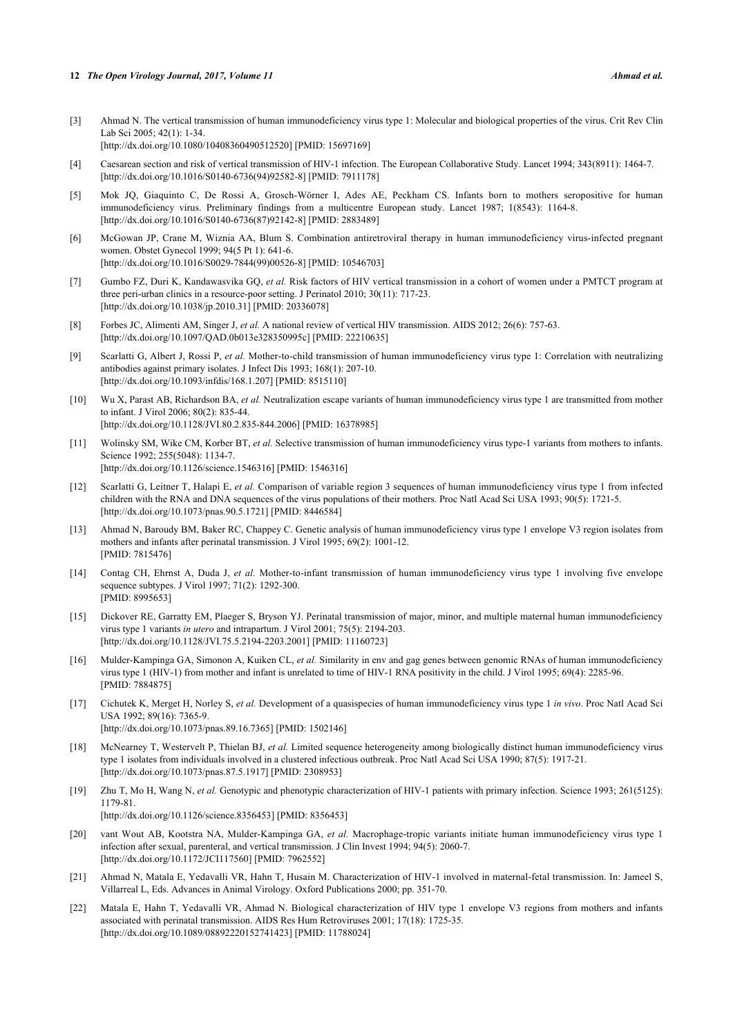#### **12** *The Open Virology Journal, 2017, Volume 11 Ahmad et al.*

- [3] Ahmad N. The vertical transmission of human immunodeficiency virus type 1: Molecular and biological properties of the virus. Crit Rev Clin Lab Sci 2005; 42(1): 1-34. [\[http://dx.doi.org/10.1080/10408360490512520\]](http://dx.doi.org/10.1080/10408360490512520) [PMID: [15697169](http://www.ncbi.nlm.nih.gov/pubmed/15697169)]
- [4] Caesarean section and risk of vertical transmission of HIV-1 infection. The European Collaborative Study. Lancet 1994; 343(8911): 1464-7. [\[http://dx.doi.org/10.1016/S0140-6736\(94\)92582-8\]](http://dx.doi.org/10.1016/S0140-6736(94)92582-8) [PMID: [7911178](http://www.ncbi.nlm.nih.gov/pubmed/7911178)]
- <span id="page-4-0"></span>[5] Mok JQ, Giaquinto C, De Rossi A, Grosch-Wörner I, Ades AE, Peckham CS. Infants born to mothers seropositive for human immunodeficiency virus. Preliminary findings from a multicentre European study. Lancet 1987; 1(8543): 1164-8. [\[http://dx.doi.org/10.1016/S0140-6736\(87\)92142-8\]](http://dx.doi.org/10.1016/S0140-6736(87)92142-8) [PMID: [2883489](http://www.ncbi.nlm.nih.gov/pubmed/2883489)]
- <span id="page-4-1"></span>[6] McGowan JP, Crane M, Wiznia AA, Blum S. Combination antiretroviral therapy in human immunodeficiency virus-infected pregnant women. Obstet Gynecol 1999; 94(5 Pt 1): 641-6. [\[http://dx.doi.org/10.1016/S0029-7844\(99\)00526-8\]](http://dx.doi.org/10.1016/S0029-7844(99)00526-8) [PMID: [10546703](http://www.ncbi.nlm.nih.gov/pubmed/10546703)]
- <span id="page-4-2"></span>[7] Gumbo FZ, Duri K, Kandawasvika GQ, *et al.* Risk factors of HIV vertical transmission in a cohort of women under a PMTCT program at three peri-urban clinics in a resource-poor setting. J Perinatol 2010; 30(11): 717-23. [\[http://dx.doi.org/10.1038/jp.2010.31](http://dx.doi.org/10.1038/jp.2010.31)] [PMID: [20336078\]](http://www.ncbi.nlm.nih.gov/pubmed/20336078)
- <span id="page-4-3"></span>[8] Forbes JC, Alimenti AM, Singer J, *et al.* A national review of vertical HIV transmission. AIDS 2012; 26(6): 757-63. [\[http://dx.doi.org/10.1097/QAD.0b013e328350995c](http://dx.doi.org/10.1097/QAD.0b013e328350995c)] [PMID: [22210635\]](http://www.ncbi.nlm.nih.gov/pubmed/22210635)
- <span id="page-4-4"></span>[9] Scarlatti G, Albert J, Rossi P, *et al.* Mother-to-child transmission of human immunodeficiency virus type 1: Correlation with neutralizing antibodies against primary isolates. J Infect Dis 1993; 168(1): 207-10. [\[http://dx.doi.org/10.1093/infdis/168.1.207](http://dx.doi.org/10.1093/infdis/168.1.207)] [PMID: [8515110\]](http://www.ncbi.nlm.nih.gov/pubmed/8515110)
- <span id="page-4-5"></span>[10] Wu X, Parast AB, Richardson BA, *et al.* Neutralization escape variants of human immunodeficiency virus type 1 are transmitted from mother to infant. J Virol 2006; 80(2): 835-44. [\[http://dx.doi.org/10.1128/JVI.80.2.835-844.2006](http://dx.doi.org/10.1128/JVI.80.2.835-844.2006)] [PMID: [16378985\]](http://www.ncbi.nlm.nih.gov/pubmed/16378985)
- <span id="page-4-6"></span>[11] Wolinsky SM, Wike CM, Korber BT, *et al.* Selective transmission of human immunodeficiency virus type-1 variants from mothers to infants. Science 1992; 255(5048): 1134-7. [\[http://dx.doi.org/10.1126/science.1546316](http://dx.doi.org/10.1126/science.1546316)] [PMID: [1546316\]](http://www.ncbi.nlm.nih.gov/pubmed/1546316)
- [12] Scarlatti G, Leitner T, Halapi E, *et al.* Comparison of variable region 3 sequences of human immunodeficiency virus type 1 from infected children with the RNA and DNA sequences of the virus populations of their mothers. Proc Natl Acad Sci USA 1993; 90(5): 1721-5. [\[http://dx.doi.org/10.1073/pnas.90.5.1721](http://dx.doi.org/10.1073/pnas.90.5.1721)] [PMID: [8446584](http://www.ncbi.nlm.nih.gov/pubmed/8446584)]
- <span id="page-4-11"></span>[13] Ahmad N, Baroudy BM, Baker RC, Chappey C. Genetic analysis of human immunodeficiency virus type 1 envelope V3 region isolates from mothers and infants after perinatal transmission. J Virol 1995; 69(2): 1001-12. [PMID: [7815476\]](http://www.ncbi.nlm.nih.gov/pubmed/7815476)
- [14] Contag CH, Ehrnst A, Duda J, *et al.* Mother-to-infant transmission of human immunodeficiency virus type 1 involving five envelope sequence subtypes. J Virol 1997; 71(2): 1292-300. [PMID: [8995653\]](http://www.ncbi.nlm.nih.gov/pubmed/8995653)
- [15] Dickover RE, Garratty EM, Plaeger S, Bryson YJ. Perinatal transmission of major, minor, and multiple maternal human immunodeficiency virus type 1 variants *in utero* and intrapartum. J Virol 2001; 75(5): 2194-203. [\[http://dx.doi.org/10.1128/JVI.75.5.2194-2203.2001](http://dx.doi.org/10.1128/JVI.75.5.2194-2203.2001)] [PMID: [11160723\]](http://www.ncbi.nlm.nih.gov/pubmed/11160723)
- <span id="page-4-7"></span>[16] Mulder-Kampinga GA, Simonon A, Kuiken CL, *et al.* Similarity in env and gag genes between genomic RNAs of human immunodeficiency virus type 1 (HIV-1) from mother and infant is unrelated to time of HIV-1 RNA positivity in the child. J Virol 1995; 69(4): 2285-96. [PMID: [7884875\]](http://www.ncbi.nlm.nih.gov/pubmed/7884875)
- <span id="page-4-8"></span>[17] Cichutek K, Merget H, Norley S, *et al.* Development of a quasispecies of human immunodeficiency virus type 1 *in vivo*. Proc Natl Acad Sci USA 1992; 89(16): 7365-9. [\[http://dx.doi.org/10.1073/pnas.89.16.7365](http://dx.doi.org/10.1073/pnas.89.16.7365)] [PMID: [1502146](http://www.ncbi.nlm.nih.gov/pubmed/1502146)]
- [18] McNearney T, Westervelt P, Thielan BJ, *et al.* Limited sequence heterogeneity among biologically distinct human immunodeficiency virus type 1 isolates from individuals involved in a clustered infectious outbreak. Proc Natl Acad Sci USA 1990; 87(5): 1917-21. [\[http://dx.doi.org/10.1073/pnas.87.5.1917](http://dx.doi.org/10.1073/pnas.87.5.1917)] [PMID: [2308953](http://www.ncbi.nlm.nih.gov/pubmed/2308953)]
- <span id="page-4-9"></span>[19] Zhu T, Mo H, Wang N, *et al.* Genotypic and phenotypic characterization of HIV-1 patients with primary infection. Science 1993; 261(5125): 1179-81. [\[http://dx.doi.org/10.1126/science.8356453](http://dx.doi.org/10.1126/science.8356453)] [PMID: [8356453\]](http://www.ncbi.nlm.nih.gov/pubmed/8356453)
- <span id="page-4-10"></span>[20] vant Wout AB, Kootstra NA, Mulder-Kampinga GA, *et al.* Macrophage-tropic variants initiate human immunodeficiency virus type 1 infection after sexual, parenteral, and vertical transmission. J Clin Invest 1994; 94(5): 2060-7. [\[http://dx.doi.org/10.1172/JCI117560\]](http://dx.doi.org/10.1172/JCI117560) [PMID: [7962552](http://www.ncbi.nlm.nih.gov/pubmed/7962552)]
- [21] Ahmad N, Matala E, Yedavalli VR, Hahn T, Husain M. Characterization of HIV-1 involved in maternal-fetal transmission. In: Jameel S, Villarreal L, Eds. Advances in Animal Virology. Oxford Publications 2000; pp. 351-70.
- [22] Matala E, Hahn T, Yedavalli VR, Ahmad N. Biological characterization of HIV type 1 envelope V3 regions from mothers and infants associated with perinatal transmission. AIDS Res Hum Retroviruses 2001; 17(18): 1725-35. [\[http://dx.doi.org/10.1089/08892220152741423\]](http://dx.doi.org/10.1089/08892220152741423) [PMID: [11788024](http://www.ncbi.nlm.nih.gov/pubmed/11788024)]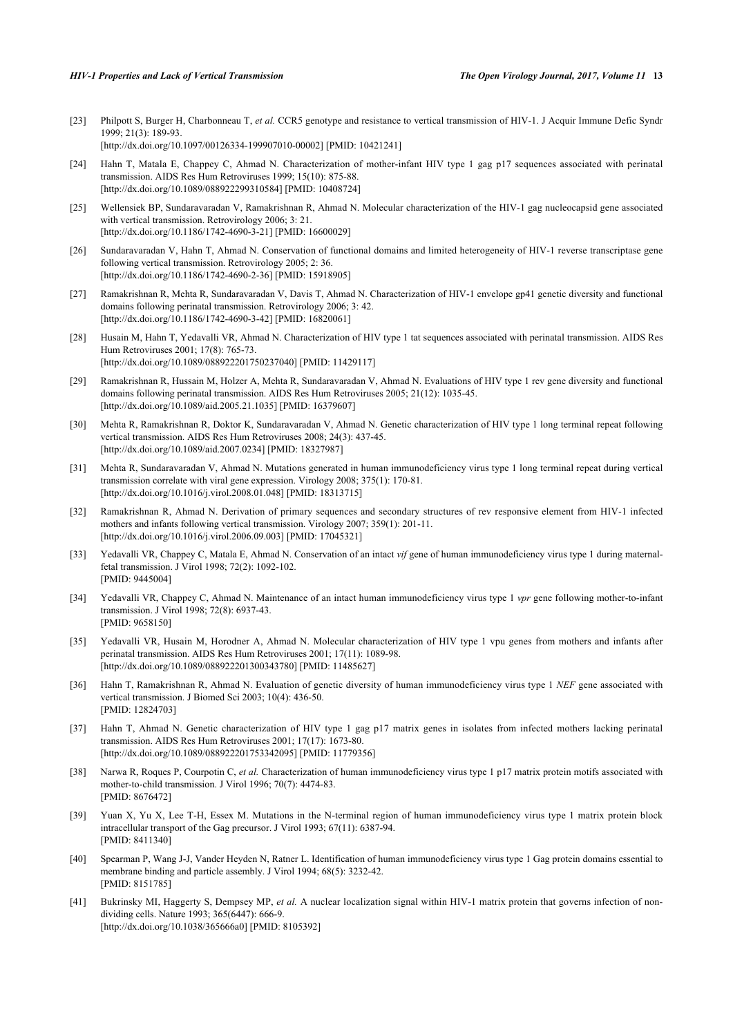- <span id="page-5-0"></span>[23] Philpott S, Burger H, Charbonneau T, *et al.* CCR5 genotype and resistance to vertical transmission of HIV-1. J Acquir Immune Defic Syndr 1999; 21(3): 189-93. [\[http://dx.doi.org/10.1097/00126334-199907010-00002](http://dx.doi.org/10.1097/00126334-199907010-00002)] [PMID: [10421241\]](http://www.ncbi.nlm.nih.gov/pubmed/10421241)
- <span id="page-5-1"></span>[24] Hahn T, Matala E, Chappey C, Ahmad N. Characterization of mother-infant HIV type 1 gag p17 sequences associated with perinatal transmission. AIDS Res Hum Retroviruses 1999; 15(10): 875-88. [\[http://dx.doi.org/10.1089/088922299310584\]](http://dx.doi.org/10.1089/088922299310584) [PMID: [10408724](http://www.ncbi.nlm.nih.gov/pubmed/10408724)]
- <span id="page-5-2"></span>[25] Wellensiek BP, Sundaravaradan V, Ramakrishnan R, Ahmad N. Molecular characterization of the HIV-1 gag nucleocapsid gene associated with vertical transmission. Retrovirology 2006; 3: 21. [\[http://dx.doi.org/10.1186/1742-4690-3-21\]](http://dx.doi.org/10.1186/1742-4690-3-21) [PMID: [16600029](http://www.ncbi.nlm.nih.gov/pubmed/16600029)]
- <span id="page-5-3"></span>[26] Sundaravaradan V, Hahn T, Ahmad N. Conservation of functional domains and limited heterogeneity of HIV-1 reverse transcriptase gene following vertical transmission. Retrovirology 2005; 2: 36. [\[http://dx.doi.org/10.1186/1742-4690-2-36\]](http://dx.doi.org/10.1186/1742-4690-2-36) [PMID: [15918905](http://www.ncbi.nlm.nih.gov/pubmed/15918905)]
- <span id="page-5-4"></span>[27] Ramakrishnan R, Mehta R, Sundaravaradan V, Davis T, Ahmad N. Characterization of HIV-1 envelope gp41 genetic diversity and functional domains following perinatal transmission. Retrovirology 2006; 3: 42. [\[http://dx.doi.org/10.1186/1742-4690-3-42\]](http://dx.doi.org/10.1186/1742-4690-3-42) [PMID: [16820061](http://www.ncbi.nlm.nih.gov/pubmed/16820061)]
- <span id="page-5-5"></span>[28] Husain M, Hahn T, Yedavalli VR, Ahmad N. Characterization of HIV type 1 tat sequences associated with perinatal transmission. AIDS Res Hum Retroviruses 2001; 17(8): 765-73. [\[http://dx.doi.org/10.1089/088922201750237040\]](http://dx.doi.org/10.1089/088922201750237040) [PMID: [11429117](http://www.ncbi.nlm.nih.gov/pubmed/11429117)]
- <span id="page-5-6"></span>[29] Ramakrishnan R, Hussain M, Holzer A, Mehta R, Sundaravaradan V, Ahmad N. Evaluations of HIV type 1 rev gene diversity and functional domains following perinatal transmission. AIDS Res Hum Retroviruses 2005; 21(12): 1035-45. [\[http://dx.doi.org/10.1089/aid.2005.21.1035\]](http://dx.doi.org/10.1089/aid.2005.21.1035) [PMID: [16379607](http://www.ncbi.nlm.nih.gov/pubmed/16379607)]
- <span id="page-5-7"></span>[30] Mehta R, Ramakrishnan R, Doktor K, Sundaravaradan V, Ahmad N. Genetic characterization of HIV type 1 long terminal repeat following vertical transmission. AIDS Res Hum Retroviruses 2008; 24(3): 437-45. [\[http://dx.doi.org/10.1089/aid.2007.0234\]](http://dx.doi.org/10.1089/aid.2007.0234) [PMID: [18327987](http://www.ncbi.nlm.nih.gov/pubmed/18327987)]
- <span id="page-5-8"></span>[31] Mehta R, Sundaravaradan V, Ahmad N. Mutations generated in human immunodeficiency virus type 1 long terminal repeat during vertical transmission correlate with viral gene expression. Virology 2008; 375(1): 170-81. [\[http://dx.doi.org/10.1016/j.virol.2008.01.048](http://dx.doi.org/10.1016/j.virol.2008.01.048)] [PMID: [18313715\]](http://www.ncbi.nlm.nih.gov/pubmed/18313715)
- <span id="page-5-9"></span>[32] Ramakrishnan R, Ahmad N. Derivation of primary sequences and secondary structures of rev responsive element from HIV-1 infected mothers and infants following vertical transmission. Virology 2007; 359(1): 201-11. [\[http://dx.doi.org/10.1016/j.virol.2006.09.003](http://dx.doi.org/10.1016/j.virol.2006.09.003)] [PMID: [17045321\]](http://www.ncbi.nlm.nih.gov/pubmed/17045321)
- <span id="page-5-10"></span>[33] Yedavalli VR, Chappey C, Matala E, Ahmad N. Conservation of an intact *vif* gene of human immunodeficiency virus type 1 during maternalfetal transmission. J Virol 1998; 72(2): 1092-102. [PMID: [9445004\]](http://www.ncbi.nlm.nih.gov/pubmed/9445004)
- <span id="page-5-11"></span>[34] Yedavalli VR, Chappey C, Ahmad N. Maintenance of an intact human immunodeficiency virus type 1 *vpr* gene following mother-to-infant transmission. J Virol 1998; 72(8): 6937-43. [PMID: [9658150\]](http://www.ncbi.nlm.nih.gov/pubmed/9658150)
- <span id="page-5-12"></span>[35] Yedavalli VR, Husain M, Horodner A, Ahmad N. Molecular characterization of HIV type 1 vpu genes from mothers and infants after perinatal transmission. AIDS Res Hum Retroviruses 2001; 17(11): 1089-98. [\[http://dx.doi.org/10.1089/088922201300343780\]](http://dx.doi.org/10.1089/088922201300343780) [PMID: [11485627](http://www.ncbi.nlm.nih.gov/pubmed/11485627)]
- <span id="page-5-13"></span>[36] Hahn T, Ramakrishnan R, Ahmad N. Evaluation of genetic diversity of human immunodeficiency virus type 1 *NEF* gene associated with vertical transmission. J Biomed Sci 2003; 10(4): 436-50. [PMID: [12824703\]](http://www.ncbi.nlm.nih.gov/pubmed/12824703)
- <span id="page-5-14"></span>[37] Hahn T, Ahmad N. Genetic characterization of HIV type 1 gag p17 matrix genes in isolates from infected mothers lacking perinatal transmission. AIDS Res Hum Retroviruses 2001; 17(17): 1673-80. [\[http://dx.doi.org/10.1089/088922201753342095\]](http://dx.doi.org/10.1089/088922201753342095) [PMID: [11779356](http://www.ncbi.nlm.nih.gov/pubmed/11779356)]
- <span id="page-5-15"></span>[38] Narwa R, Roques P, Courpotin C, *et al.* Characterization of human immunodeficiency virus type 1 p17 matrix protein motifs associated with mother-to-child transmission. J Virol 1996; 70(7): 4474-83. [PMID: [8676472\]](http://www.ncbi.nlm.nih.gov/pubmed/8676472)
- <span id="page-5-16"></span>[39] Yuan X, Yu X, Lee T-H, Essex M. Mutations in the N-terminal region of human immunodeficiency virus type 1 matrix protein block intracellular transport of the Gag precursor. J Virol 1993; 67(11): 6387-94. [PMID: [8411340\]](http://www.ncbi.nlm.nih.gov/pubmed/8411340)
- [40] Spearman P, Wang J-J, Vander Heyden N, Ratner L. Identification of human immunodeficiency virus type 1 Gag protein domains essential to membrane binding and particle assembly. J Virol 1994; 68(5): 3232-42. [PMID: [8151785\]](http://www.ncbi.nlm.nih.gov/pubmed/8151785)
- [41] Bukrinsky MI, Haggerty S, Dempsey MP, *et al.* A nuclear localization signal within HIV-1 matrix protein that governs infection of nondividing cells. Nature 1993; 365(6447): 666-9. [\[http://dx.doi.org/10.1038/365666a0](http://dx.doi.org/10.1038/365666a0)] [PMID: [8105392\]](http://www.ncbi.nlm.nih.gov/pubmed/8105392)